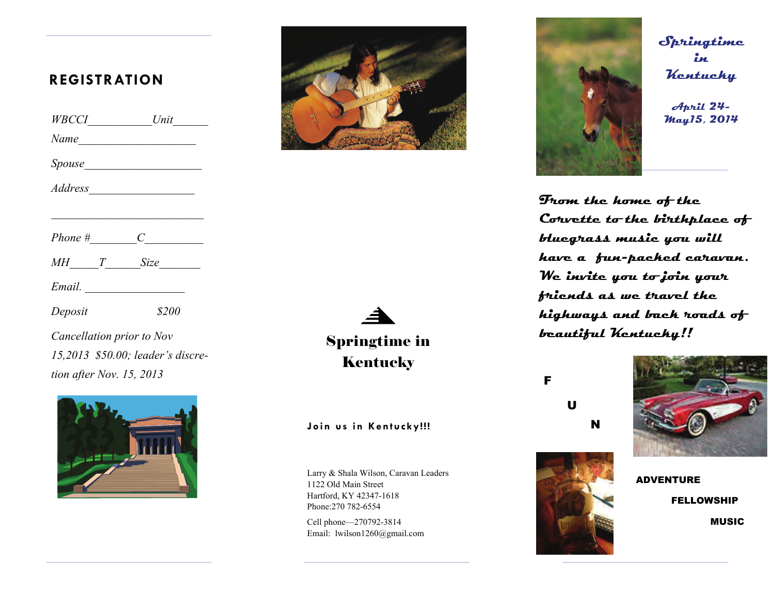# **REGISTRATION**

| WBCCI   |                     |
|---------|---------------------|
| Name    |                     |
|         |                     |
| Address |                     |
| Phone # | $C \longrightarrow$ |
|         | MH T Size           |
| Email.  |                     |
| Deposit | \$200               |

*Cancellation prior to Nov 15,2013 \$50.00; leader's discretion after Nov. 15, 2013* 





◢ Springtime in **Kentucky** 

## **Join us in Kentucky!!!**

Larry & Shala Wilson, Caravan Leaders 1122 Old Main Street Hartford, KY 42347-1618 Phone:270 782-6554

Cell phone—270792-3814 Email: lwilson1260@gmail.com



**Springtime in Kentucky** 

**April 24-**

**From the home of the Corvette to the birthplace of bluegrass music you will have a fun-packed caravan. We invite you to join your friends as we travel the highways and back roads of beautiful Kentucky!!** 

F

 U N





ADVENTURE FELLOWSHIP **MUSIC**